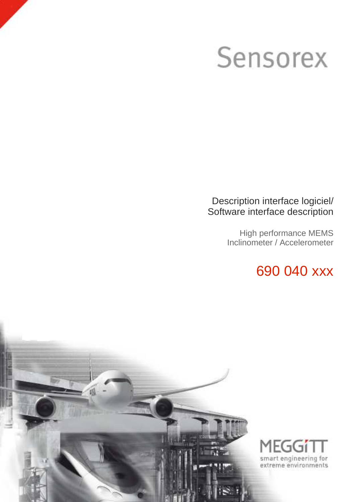### Sensorex

### Description interface logiciel/ Software interface description

High performance MEMS Inclinometer / Accelerometer

### 690 040 xxx



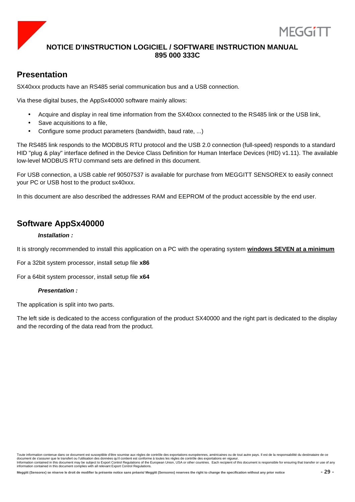

### **Presentation**

SX40xxx products have an RS485 serial communication bus and a USB connection.

Via these digital buses, the AppSx40000 software mainly allows:

- Acquire and display in real time information from the SX40xxx connected to the RS485 link or the USB link,
- Save acquisitions to a file,
- Configure some product parameters (bandwidth, baud rate, ...)

The RS485 link responds to the MODBUS RTU protocol and the USB 2.0 connection (full-speed) responds to a standard HID "plug & play" interface defined in the Device Class Definition for Human Interface Devices (HID) v1.11). The available low-level MODBUS RTU command sets are defined in this document.

For USB connection, a USB cable ref 90507537 is available for purchase from MEGGITT SENSOREX to easily connect your PC or USB host to the product sx40xxx.

In this document are also described the addresses RAM and EEPROM of the product accessible by the end user.

### **Software AppSx40000**

### **Installation :**

It is strongly recommended to install this application on a PC with the operating system **windows SEVEN at a minimum**

For a 32bit system processor, install setup file **x86**

For a 64bit system processor, install setup file **x64**

### **Presentation :**

The application is split into two parts.

The left side is dedicated to the access configuration of the product SX40000 and the right part is dedicated to the display and the recording of the data read from the product.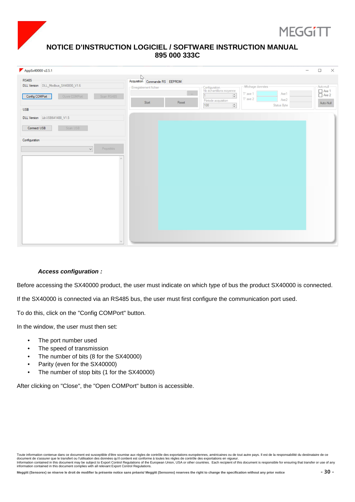

| AppSx40000 v2.5.1                              |                                                                                                        |       |                                          |                                                  | $\times$<br>$\Box$<br>—                                                   |
|------------------------------------------------|--------------------------------------------------------------------------------------------------------|-------|------------------------------------------|--------------------------------------------------|---------------------------------------------------------------------------|
| <b>RS485</b>                                   | $\begin{tabular}{c c c} & $\rightarrow$ \\ Acquisition & Commande RS & EEPROM \\ \hline \end{tabular}$ |       |                                          |                                                  |                                                                           |
| DLL Version DLL_Modbus_SX40000_V1.6            | Enregistrement fichier                                                                                 |       | Configuration<br>Nb échantillons moyenne | Affichage données                                | Auto-null                                                                 |
| Config COMPort<br>Ouvrir COMPort<br>Scan RS485 |                                                                                                        |       | $\frac{\Delta}{\Psi}$                    | $T^*$ axe 1<br>Axe1<br>$T^{\circ}$ axe 2<br>Axe2 | $\begin{array}{c}\n\Box \text{ Ave 1} \\ \Box \text{ Ave 2}\n\end{array}$ |
|                                                | Start                                                                                                  | Reset | Période acquisition<br>100<br>$\div$     | Status Byte                                      | Auto-Null                                                                 |
| <b>USB</b>                                     |                                                                                                        |       |                                          |                                                  |                                                                           |
| DLL Version LibUSB641488_V1.5                  |                                                                                                        |       |                                          |                                                  |                                                                           |
| Connect USB<br>Scan USB                        |                                                                                                        |       |                                          |                                                  |                                                                           |
| Configuration                                  |                                                                                                        |       |                                          |                                                  |                                                                           |
| Propriétés<br>$\checkmark$                     |                                                                                                        |       |                                          |                                                  |                                                                           |
|                                                |                                                                                                        |       |                                          |                                                  |                                                                           |
|                                                |                                                                                                        |       |                                          |                                                  |                                                                           |
|                                                |                                                                                                        |       |                                          |                                                  |                                                                           |
|                                                |                                                                                                        |       |                                          |                                                  |                                                                           |
|                                                |                                                                                                        |       |                                          |                                                  |                                                                           |
|                                                |                                                                                                        |       |                                          |                                                  |                                                                           |
|                                                |                                                                                                        |       |                                          |                                                  |                                                                           |
|                                                |                                                                                                        |       |                                          |                                                  |                                                                           |
|                                                |                                                                                                        |       |                                          |                                                  |                                                                           |
|                                                |                                                                                                        |       |                                          |                                                  |                                                                           |
|                                                |                                                                                                        |       |                                          |                                                  |                                                                           |
|                                                |                                                                                                        |       |                                          |                                                  |                                                                           |

### **Access configuration :**

Before accessing the SX40000 product, the user must indicate on which type of bus the product SX40000 is connected.

If the SX40000 is connected via an RS485 bus, the user must first configure the communication port used.

To do this, click on the "Config COMPort" button.

In the window, the user must then set:

- The port number used
- The speed of transmission
- The number of bits (8 for the SX40000)
- Parity (even for the SX40000)
- The number of stop bits (1 for the SX40000)

After clicking on "Close", the "Open COMPort" button is accessible.

Toute information contenue dans ce document est susceptible d'être soumise aux règles de contrôle des exportations européennes, américaines ou de tout autre pays. Il est de la responsabilité du destinataire de ce document de s'assurer que le transfert ou l'utilisation des données qu'il contient est conforme à toutes les règles de contrôle des exportations en vigueur.<br>Information contained in this document may be subject to Export C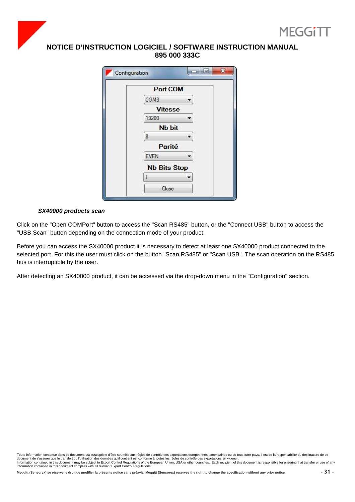



| <b>Port COM</b>     |  |
|---------------------|--|
| COM3                |  |
| <b>Vitesse</b>      |  |
| 19200               |  |
| <b>Nb bit</b>       |  |
| 8                   |  |
| Parité              |  |
| EVEN                |  |
| <b>Nb Bits Stop</b> |  |
|                     |  |

### **SX40000 products scan**

Click on the "Open COMPort" button to access the "Scan RS485" button, or the "Connect USB" button to access the "USB Scan" button depending on the connection mode of your product.

Before you can access the SX40000 product it is necessary to detect at least one SX40000 product connected to the selected port. For this the user must click on the button "Scan RS485" or "Scan USB". The scan operation on the RS485 bus is interruptible by the user.

After detecting an SX40000 product, it can be accessed via the drop-down menu in the "Configuration" section.

Toute information contenue dans ce document est susceptible d'être soumise aux règles de contrôle des exportations européennes, américaines ou de tout autre pays. Il est de la responsabilité du destinataire de ce document de s'assurer que le transfert ou l'utilisation des données qu'il contient est conforme à toutes les règles de contrôle des exportations en vigueur.<br>Information contained in this document may be subject to Export C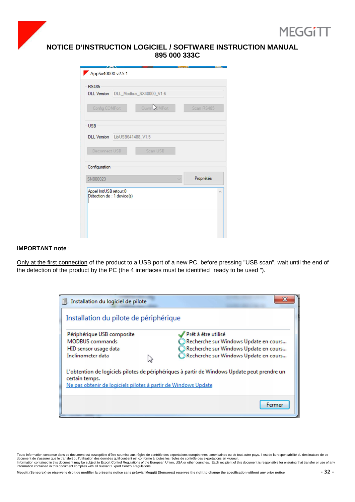

| AppSx40000 v2.5.1                                                                      |                 |
|----------------------------------------------------------------------------------------|-----------------|
| <b>RS485</b><br>DLL Version DLL_Modbus_SX40000_V1.6<br>Ouvrir BMPort<br>Config COMPort | Scan RS485      |
| <b>USB</b>                                                                             |                 |
| DLL Version LibUSB641488_V1.5                                                          |                 |
| Scan USB<br>Disconnect USB                                                             |                 |
| Configuration                                                                          |                 |
| SN000023                                                                               | Propriétés<br>w |
| Appel InitUSB retour:0<br>Détection de : 1 device(s)                                   | ×               |

### **IMPORTANT note** :

Only at the first connection of the product to a USB port of a new PC, before pressing "USB scan", wait until the end of the detection of the product by the PC (the 4 interfaces must be identified "ready to be used ").



Toute information contenue dans ce document est susceptible d'être soumise aux règles de contrôle des exportations européennes, américaines ou de tout autre pays. Il est de la responsabilité du destinataire de ce document de s'assurer que le transfert ou l'utilisation des données qu'il contient est conforme à toutes les règles de contrôle des exportations en vigueur.<br>Information contained in this document may be subject to Export C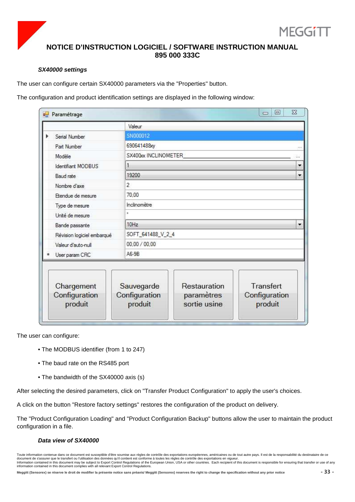

### **SX40000 settings**

The user can configure certain SX40000 parameters via the "Properties" button.

The configuration and product identification settings are displayed in the following window:

| $\frac{1}{2}$      | Paramétrage                            |                |                       |                                            | $\Sigma$<br>$\Box$<br>$\overline{ }$  |  |
|--------------------|----------------------------------------|----------------|-----------------------|--------------------------------------------|---------------------------------------|--|
|                    |                                        | Valeur         |                       |                                            |                                       |  |
|                    | Serial Number                          | SN000012       |                       |                                            |                                       |  |
|                    | Part Number                            |                | 690641488xy           |                                            |                                       |  |
|                    | Modèle                                 |                | SX400xx INCLINOMETER  |                                            |                                       |  |
|                    | Identifiant MODBUS                     | 1              |                       |                                            |                                       |  |
|                    | Baud rate                              | 19200          |                       |                                            |                                       |  |
|                    | Nombre d'axe                           | $\overline{2}$ |                       |                                            |                                       |  |
|                    | Etendue de mesure                      |                | 70,00<br>Inclinomètre |                                            |                                       |  |
|                    | Type de mesure                         |                |                       |                                            |                                       |  |
|                    | Unité de mesure                        | ×.             |                       |                                            |                                       |  |
|                    | Bande passante                         |                | 10Hz                  |                                            |                                       |  |
|                    | Révision logiciel embarqué             |                | SOFT_641488_V_2_4     |                                            |                                       |  |
| Valeur d'auto-null |                                        |                | 00,00 / 00,00         |                                            |                                       |  |
|                    | User param CRC                         |                | $A6-9B$               |                                            |                                       |  |
|                    | Chargement<br>Configuration<br>produit | Configuration  | Sauvegarde<br>produit | Restauration<br>paramètres<br>sortie usine | Transfert<br>Configuration<br>produit |  |

The user can configure:

- The MODBUS identifier (from 1 to 247)
- The baud rate on the RS485 port
- The bandwidth of the SX40000 axis (s)

After selecting the desired parameters, click on "Transfer Product Configuration" to apply the user's choices.

A click on the button "Restore factory settings" restores the configuration of the product on delivery.

The "Product Configuration Loading" and "Product Configuration Backup" buttons allow the user to maintain the product configuration in a file.

### **Data view of SX40000**

Toute information contenue dans ce document est susceptible d'être soumise aux règles de contrôle des exportations européennes, américaines ou de tout autre pays. Il est de la responsabilité du destinataire de ce document de s'assurer que le transfert ou l'utilisation des données qu'il contient est conforme à toutes les règles de contrôle des exportations en vigueur.<br>Information contained in this document may be subject to Export C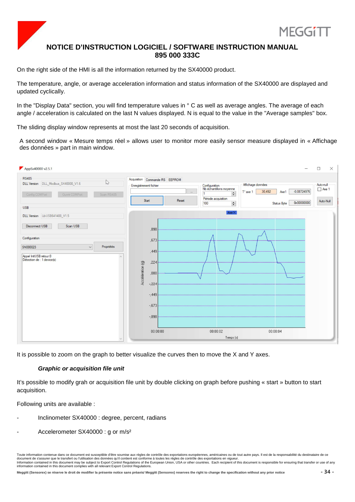

On the right side of the HMI is all the information returned by the SX40000 product.

The temperature, angle, or average acceleration information and status information of the SX40000 are displayed and updated cyclically.

In the "Display Data" section, you will find temperature values in ° C as well as average angles. The average of each angle / acceleration is calculated on the last N values displayed. N is equal to the value in the "Average samples" box.

The sliding display window represents at most the last 20 seconds of acquisition.

A second window « Mesure temps réel » allows user to monitor more easily sensor measure displayed in « Affichage des données » part in main window.



It is possible to zoom on the graph to better visualize the curves then to move the X and Y axes.

### **Graphic or acquisition file unit**

It's possible to modify grah or acquisition file unit by double clicking on graph before pushing « start » button to start acquisition.

Following units are available :

- Inclinometer SX40000 : degree, percent, radians
- Accelerometer SX40000 : g or m/s<sup>2</sup>

Toute information contenue dans ce document est susceptible d'être soumise aux règles de contrôle des exportations européennes, américaines ou de tout autre pays. Il est de la responsabilité du destinataire de ce document de s'assurer que le transfert ou l'utilisation des données qu'il contient est conforme à toutes les règles de contrôle des exportations en vigueur.<br>Information contained in this document may be subject to Export C information contained in this document complies with all relevant Export Control Regulations.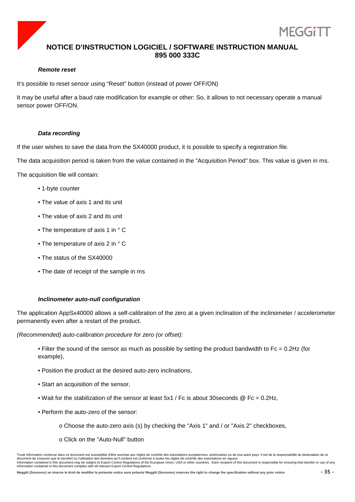

### **Remote reset**

It's possible to reset sensor using "Reset" button (instead of power OFF/ON)

It may be useful after a baud rate modification for example or other: So, it allows to not necessary operate a manual sensor power OFF/ON.

### **Data recording**

If the user wishes to save the data from the SX40000 product, it is possible to specify a registration file.

The data acquisition period is taken from the value contained in the "Acquisition Period" box. This value is given in ms.

The acquisition file will contain:

- 1-byte counter
- The value of axis 1 and its unit
- The value of axis 2 and its unit
- The temperature of axis 1 in ° C
- The temperature of axis 2 in ° C
- The status of the SX40000
- The date of receipt of the sample in ms

### **Inclinometer auto-null configuration**

The application AppSx40000 allows a self-calibration of the zero at a given inclination of the inclinometer / accelerometer permanently even after a restart of the product.

(Recommended) auto-calibration procedure for zero (or offset):

- Filter the sound of the sensor as much as possible by setting the product bandwidth to  $Fc = 0.2Hz$  (for example),
- Position the product at the desired auto-zero inclinations,
- Start an acquisition of the sensor,
- Wait for the stabilization of the sensor at least  $5x1$  / Fc is about 30 seconds  $@$  Fc = 0.2Hz,
- Perform the auto-zero of the sensor:
	- o Choose the auto-zero axis (s) by checking the "Axis 1" and / or "Axis 2" checkboxes,
	- o Click on the "Auto-Null" button

Toute information contenue dans ce document est susceptible d'être soumise aux règles de contrôle des exportations européennes, américaines ou de tout autre pays. Il est de la responsabilité du destinataire de ce document de s'assurer que le transfert ou l'utilisation des données qu'il contient est conforme à toutes les règles de contrôle des exportations en vigueur.<br>Information contained in this document may be subject to Export C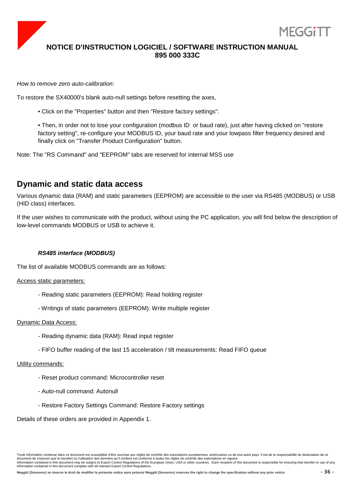

How to remove zero auto-calibration:

To restore the SX40000's blank auto-null settings before resetting the axes,

• Click on the "Properties" button and then "Restore factory settings".

• Then, in order not to lose your configuration (modbus ID or baud rate), just after having clicked on "restore factory setting", re-configure your MODBUS ID, your baud rate and your lowpass filter frequency desired and finally click on "Transfer Product Configuration" button.

Note: The "RS Command" and "EEPROM" tabs are reserved for internal MSS use

### **Dynamic and static data access**

Various dynamic data (RAM) and static parameters (EEPROM) are accessible to the user via RS485 (MODBUS) or USB (HID class) interfaces.

If the user wishes to communicate with the product, without using the PC application, you will find below the description of low-level commands MODBUS or USB to achieve it.

### **RS485 interface (MODBUS)**

The list of available MODBUS commands are as follows:

Access static parameters:

- Reading static parameters (EEPROM): Read holding register
- Writings of static parameters (EEPROM): Write multiple register

### Dynamic Data Access:

- Reading dynamic data (RAM): Read input register
- FIFO buffer reading of the last 15 acceleration / tilt measurements: Read FIFO queue

### Utility commands:

- Reset product command: Microcontroller reset
- Auto-null command: Autonull
- Restore Factory Settings Command: Restore Factory settings

Details of these orders are provided in Appendix 1.

MFGG11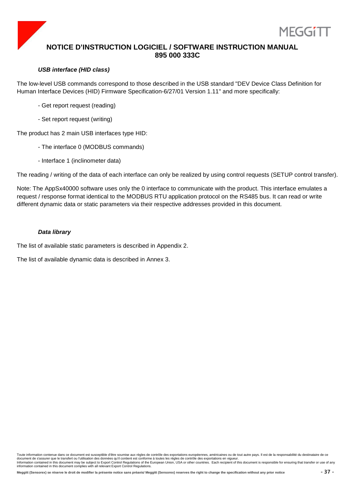

### **USB interface (HID class)**

The low-level USB commands correspond to those described in the USB standard "DEV Device Class Definition for Human Interface Devices (HID) Firmware Specification-6/27/01 Version 1.11" and more specifically:

- Get report request (reading)
- Set report request (writing)

The product has 2 main USB interfaces type HID:

- The interface 0 (MODBUS commands)
- Interface 1 (inclinometer data)

The reading / writing of the data of each interface can only be realized by using control requests (SETUP control transfer).

Note: The AppSx40000 software uses only the 0 interface to communicate with the product. This interface emulates a request / response format identical to the MODBUS RTU application protocol on the RS485 bus. It can read or write different dynamic data or static parameters via their respective addresses provided in this document.

### **Data library**

The list of available static parameters is described in Appendix 2.

The list of available dynamic data is described in Annex 3.

Toute information contenue dans ce document est susceptible d'être soumise aux règles de contrôle des exportations européennes, américaines ou de tout autre pays. Il est de la responsabilité du destinataire de ce document de s'assurer que le transfert ou l'utilisation des données qu'il contient est conforme à toutes les règles de contrôle des exportations en vigueur.<br>Information contained in this document may be subject to Export C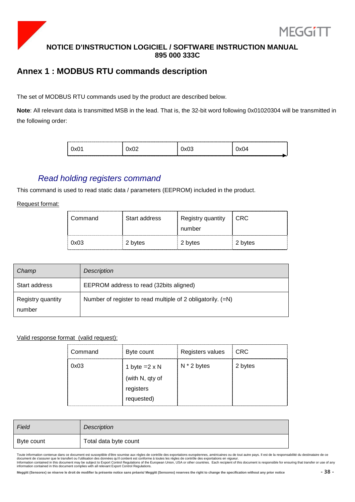

### **Annex 1 : MODBUS RTU commands description**

The set of MODBUS RTU commands used by the product are described below.

**Note**: All relevant data is transmitted MSB in the lead. That is, the 32-bit word following 0x01020304 will be transmitted in the following order:

### Read holding registers command

This command is used to read static data / parameters (EEPROM) included in the product.

Request format:

| Command | Start address | Registry quantity<br>number | CRC.    |
|---------|---------------|-----------------------------|---------|
| 0x03    | 2 bytes       | 2 bytes                     | 2 bytes |

| Champ                       | Description                                                 |
|-----------------------------|-------------------------------------------------------------|
| Start address               | EEPROM address to read (32bits aligned)                     |
| Registry quantity<br>number | Number of register to read multiple of 2 obligatorily. (=N) |

### Valid response format (valid request):

| Command | Byte count           | Registers values | <b>CRC</b> |
|---------|----------------------|------------------|------------|
| 0x03    | 1 byte $=2 \times N$ | $N * 2$ bytes    | 2 bytes    |
|         | (with N, qty of      |                  |            |
|         | registers            |                  |            |
|         | requested)           |                  |            |

| Field      | Description           |
|------------|-----------------------|
| Byte count | Total data byte count |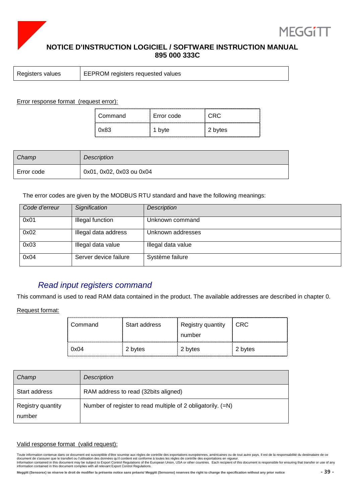



Registers values EEPROM registers requested values

Error response format (request error):

| Command | Error code | ----------------- |
|---------|------------|-------------------|
| 0x83    | byte       | 2 bytes           |

| Champ      | <b>Description</b>       |
|------------|--------------------------|
| Error code | 0x01, 0x02, 0x03 ou 0x04 |

The error codes are given by the MODBUS RTU standard and have the following meanings:

| Code d'erreur | Signification         | Description        |
|---------------|-----------------------|--------------------|
| 0x01          | Illegal function      | Unknown command    |
| 0x02          | Illegal data address  | Unknown addresses  |
| 0x03          | Illegal data value    | Illegal data value |
| 0x04          | Server device failure | Système failure    |

### Read input registers command

This command is used to read RAM data contained in the product. The available addresses are described in chapter 0.

Request format:

| 0x04    | 2 bytes       | 2 bytes           | 2 bytes         |
|---------|---------------|-------------------|-----------------|
|         |               | number            |                 |
| Command | Start address | Registry quantity | $\mathsf{LCRC}$ |

| Champ                       | Description                                                 |
|-----------------------------|-------------------------------------------------------------|
| Start address               | RAM address to read (32bits aligned)                        |
| Registry quantity<br>number | Number of register to read multiple of 2 obligatorily. (=N) |

### Valid response format (valid request):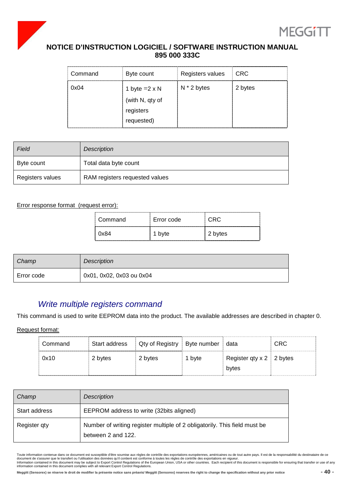



| Command             | Byte count           | Registers values | <b>CRC</b> |
|---------------------|----------------------|------------------|------------|
| 0x04                | 1 byte $=2 \times N$ | $N * 2$ bytes    | 2 bytes    |
|                     | (with N, qty of      |                  |            |
|                     | registers            |                  |            |
| ,,,,,,,,,,,,,,,,,,, | requested)           |                  |            |

| Field            | <b>Description</b>             |
|------------------|--------------------------------|
| Byte count       | Total data byte count          |
| Registers values | RAM registers requested values |

### Error response format (request error):

| ⊟ Command | Error code | CRC     |
|-----------|------------|---------|
| : 0x84    | 1 byte     | 2 bytes |

| Champ      | Description              |
|------------|--------------------------|
| Error code | 0x01, 0x02, 0x03 ou 0x04 |

### Write multiple registers command

This command is used to write EEPROM data into the product. The available addresses are described in chapter 0.

Request format:

| Command | Start address | Qty of Registry   Byte number |        | data                              | <b>CRC</b> |
|---------|---------------|-------------------------------|--------|-----------------------------------|------------|
| 0x10    | 2 bytes       | 2 bytes                       | 1 byte | Register qty $x 2 \nvert 2$ bytes |            |
|         |               |                               |        | bytes                             |            |

| Champ         | Description                                                                                     |
|---------------|-------------------------------------------------------------------------------------------------|
| Start address | EEPROM address to write (32bits aligned)                                                        |
| Register qty  | Number of writing register multiple of 2 obligatorily. This field must be<br>between 2 and 122. |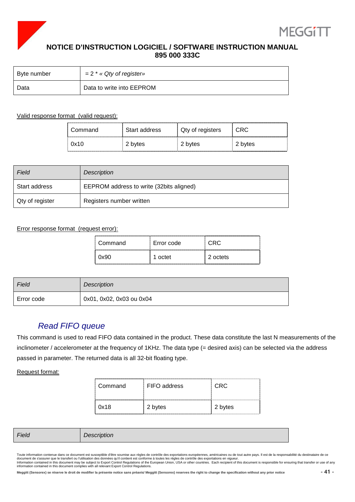



| Byte number | $= 2$ * « Qty of register» |
|-------------|----------------------------|
| Data        | Data to write into EEPROM  |

### Valid response format (valid request):

| Command | Start address | Qty of registers | <br>CRC |
|---------|---------------|------------------|---------|
| 0x10    | 2 bvtes       | 2 bytes          | 2 bytes |

| Field           | <b>Description</b>                       |
|-----------------|------------------------------------------|
| Start address   | EEPROM address to write (32bits aligned) |
| Qty of register | Registers number written                 |

### Error response format (request error):

| Command | Error code |          |
|---------|------------|----------|
|         | nctet      | 2 octets |

| Field      | Description              |
|------------|--------------------------|
| Error code | 0x01, 0x02, 0x03 ou 0x04 |

### Read FIFO queue

This command is used to read FIFO data contained in the product. These data constitute the last N measurements of the inclinometer / accelerometer at the frequency of 1KHz. The data type (= desired axis) can be selected via the address passed in parameter. The returned data is all 32-bit floating type.

Request format:

| Command | FIFO address | CRC.    |
|---------|--------------|---------|
| 0x18    | 2 bytes      | 2 bytes |

| Fiela | .<br>Description |
|-------|------------------|
|-------|------------------|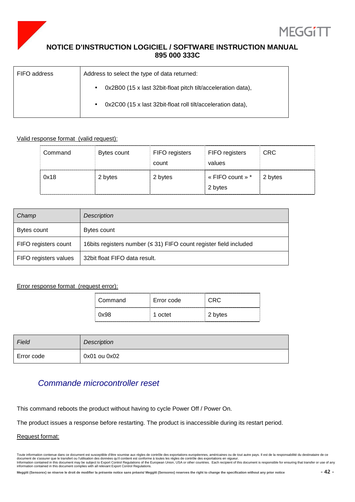



| FIFO address | Address to select the type of data returned:                              |  |
|--------------|---------------------------------------------------------------------------|--|
|              | 0x2B00 (15 x last 32bit-float pitch tilt/acceleration data),<br>$\bullet$ |  |
|              | 0x2C00 (15 x last 32bit-float roll tilt/acceleration data),<br>$\bullet$  |  |

### Valid response format (valid request):

| Command | Bytes count | FIFO registers<br>count | FIFO registers<br>values    | <b>CRC</b> |
|---------|-------------|-------------------------|-----------------------------|------------|
| 0x18    | 2 bytes     | 2 bytes                 | « FIFO count » *<br>2 bytes | 2 bytes    |

| Champ                 | Description                                                         |
|-----------------------|---------------------------------------------------------------------|
| Bytes count           | Bytes count                                                         |
| FIFO registers count  | 16 bits registers number $(531)$ FIFO count register field included |
| FIFO registers values | 32 bit float FIFO data result.                                      |

### Error response format (request error):

| Command | Error code | CRC.    |
|---------|------------|---------|
| 0x98    | 1 octet    | 2 bytes |

| Field      | <b>Description</b> |
|------------|--------------------|
| Error code | 0x01 ou 0x02       |

### Commande microcontroller reset

This command reboots the product without having to cycle Power Off / Power On.

The product issues a response before restarting. The product is inaccessible during its restart period.

### Request format:

Toute information contenue dans ce document est susceptible d'être soumise aux règles de contrôle des exportations européennes, américaines ou de tout autre pays. Il est de la responsabilité du destinataire de ce<br>document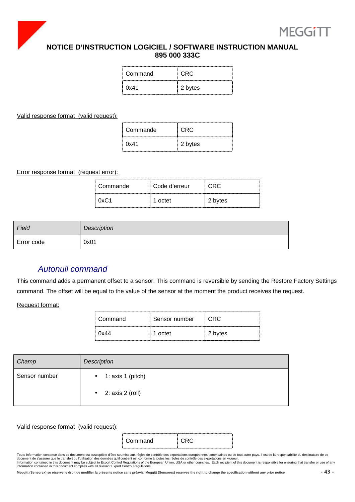



| Command | CRC.    |
|---------|---------|
| 0x41    | 2 bytes |

### Valid response format (valid request):

| Commande | C:RC    |
|----------|---------|
| 0x41     | 2 bytes |

Error response format (request error):

| Commande | ⊟ Code d'erreur |         |
|----------|-----------------|---------|
| ∩v(`1    | 1 octet         | 2 bytes |

| Field      | Description |
|------------|-------------|
| Error code | 0x01        |

### Autonull command

This command adds a permanent offset to a sensor. This command is reversible by sending the Restore Factory Settings command. The offset will be equal to the value of the sensor at the moment the product receives the request.

Request format:

| Command                                                                                                                                                                                                                                 | Sensor number |         |  |
|-----------------------------------------------------------------------------------------------------------------------------------------------------------------------------------------------------------------------------------------|---------------|---------|--|
| ()x44<br>and the contract of the contract of the contract of the contract of the contract of the contract of the contract of the contract of the contract of the contract of the contract of the contract of the contract of the contra | 1 octet       | 2 bytes |  |

| Champ         | Description                      |
|---------------|----------------------------------|
| Sensor number | 1: $axis 1 (pitch)$<br>$\bullet$ |
|               | 2: axis 2 (roll)<br>$\bullet$    |

### Valid response format (valid request):

| ۰<br>Ξ |  |
|--------|--|
|--------|--|

Toute information contenue dans ce document est susceptible d'être soumise aux règles de contrôle des exportations européennes, américaines ou de tout autre pays. Il est de la responsabilité du destinataire de ce<br>document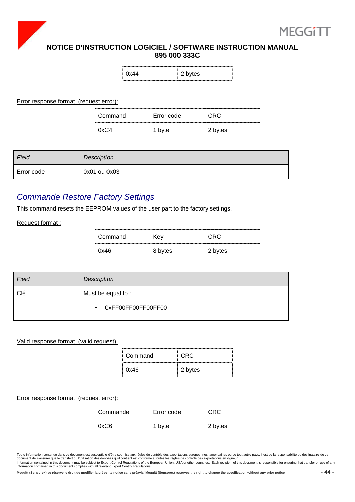



| 2 bytes |
|---------|
|         |

Error response format (request error):

| Command | Error code |         |
|---------|------------|---------|
|         | ι υντε     | 2 bytes |

| Field      | Description  |
|------------|--------------|
| Error code | 0x01 ou 0x03 |

### Commande Restore Factory Settings

This command resets the EEPROM values of the user part to the factory settings.

Request format :

| ⊟ Command | Kev     |         |
|-----------|---------|---------|
| 0x46      | 8 bytes | 2 bytes |

| Field | Description                     |
|-------|---------------------------------|
| Clé   | Must be equal to:               |
|       | 0xFF00FF00FF00FF00<br>$\bullet$ |

### Valid response format (valid request):

| Command | -CRC    |
|---------|---------|
| 0x46    | 2 bytes |

### Error response format (request error):

| Commande | Error code | CRC.    |  |
|----------|------------|---------|--|
| 0xC6     | 1 byte     | 2 bytes |  |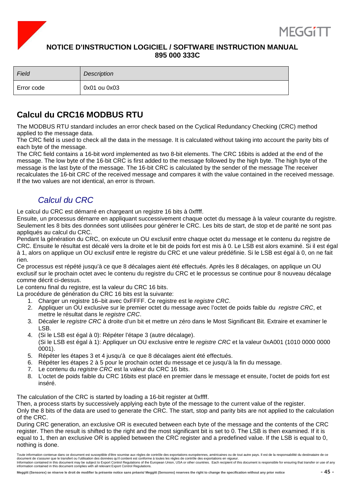



| Field      | Description  |
|------------|--------------|
| Error code | 0x01 ou 0x03 |

### **Calcul du CRC16 MODBUS RTU**

The MODBUS RTU standard includes an error check based on the Cyclical Redundancy Checking (CRC) method applied to the message data.

The CRC field is used to check all the data in the message. It is calculated without taking into account the parity bits of each byte of the message.

The CRC field contains a 16-bit word implemented as two 8-bit elements. The CRC 16bits is added at the end of the message. The low byte of the 16-bit CRC is first added to the message followed by the high byte. The high byte of the message is the last byte of the message. The 16-bit CRC is calculated by the sender of the message The receiver recalculates the 16-bit CRC of the received message and compares it with the value contained in the received message. If the two values are not identical, an error is thrown.

### Calcul du CRC

Le calcul du CRC est démarré en chargeant un registre 16 bits à 0xffff.

Ensuite, un processus démarre en appliquant successivement chaque octet du message à la valeur courante du registre. Seulement les 8 bits des données sont utilisées pour générer le CRC. Les bits de start, de stop et de parité ne sont pas appliqués au calcul du CRC.

Pendant la génération du CRC, on exécute un OU exclusif entre chaque octet du message et le contenu du registre de CRC. Ensuite le résultat est décalé vers la droite et le bit de poids fort est mis à 0. Le LSB est alors examiné. Si il est égal à 1, alors on applique un OU exclusif entre le registre du CRC et une valeur prédéfinie. Si le LSB est égal à 0, on ne fait rien.

Ce processus est répété jusqu'à ce que 8 décalages aient été effectués. Après les 8 décalages, on applique un OU exclusif sur le prochain octet avec le contenu du registre du CRC et le processus se continue pour 8 nouveau décalage comme décrit ci-dessus.

Le contenu final du registre, est la valeur du CRC 16 bits.

La procédure de génération du CRC 16 bits est la suivante:

- 1. Charger un registre 16–bit avec 0xFFFF. Ce registre est le registre CRC.
- 2. Appliquer un OU exclusive sur le premier octet du message avec l'octet de poids faible du registre CRC, et mettre le résultat dans le registre CRC.
- 3. Décaler le registre CRC à droite d'un bit et mettre un zéro dans le Most Significant Bit. Extraire et examiner le LSB.
- 4. (Si le LSB est égal à 0): Répéter l'étape 3 (autre décalage). (Si le LSB est égal à 1): Appliquer un OU exclusive entre le registre CRC et la valeur 0xA001 (1010 0000 0000 0001).
- 5. Répéter les étapes 3 et 4 jusqu'à ce que 8 décalages aient été effectués.
- 6. Répéter les étapes 2 à 5 pour le prochain octet du message et ce jusqu'à la fin du message.
- 7. Le contenu du registre CRC est la valeur du CRC 16 bits.
- 8. L'octet de poids faible du CRC 16bits est placé en premier dans le message et ensuite, l'octet de poids fort est inséré.

The calculation of the CRC is started by loading a 16-bit register at 0xffff.

Then, a process starts by successively applying each byte of the message to the current value of the register.

Only the 8 bits of the data are used to generate the CRC. The start, stop and parity bits are not applied to the calculation of the CRC.

During CRC generation, an exclusive OR is executed between each byte of the message and the contents of the CRC register. Then the result is shifted to the right and the most significant bit is set to 0. The LSB is then examined. If it is equal to 1, then an exclusive OR is applied between the CRC register and a predefined value. If the LSB is equal to 0, nothing is done.

Toute information contenue dans ce document est susceptible d'être soumise aux règles de contrôle des exportations européennes, américaines ou de tout autre pays. Il est de la responsabilité du destinataire de ce document de s'assurer que le transfert ou l'utilisation des données qu'il contient est conforme à toutes les règles de contrôle des exportations en vigueur.<br>Information contained in this document may be subject to Export C information contained in this document complies with all relevant Export Control Regulations.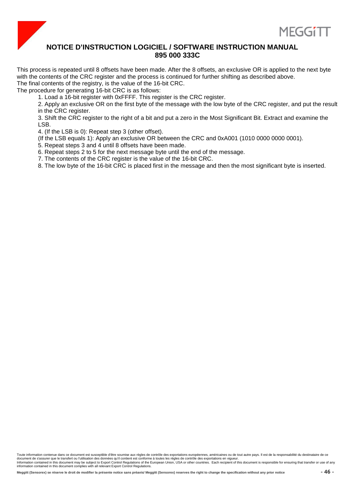



This process is repeated until 8 offsets have been made. After the 8 offsets, an exclusive OR is applied to the next byte with the contents of the CRC register and the process is continued for further shifting as described above. The final contents of the registry, is the value of the 16-bit CRC.

The procedure for generating 16-bit CRC is as follows:

1. Load a 16-bit register with 0xFFFF. This register is the CRC register.

2. Apply an exclusive OR on the first byte of the message with the low byte of the CRC register, and put the result in the CRC register.

3. Shift the CRC register to the right of a bit and put a zero in the Most Significant Bit. Extract and examine the LSB.

4. (If the LSB is 0): Repeat step 3 (other offset).

- (If the LSB equals 1): Apply an exclusive OR between the CRC and 0xA001 (1010 0000 0000 0001).
- 5. Repeat steps 3 and 4 until 8 offsets have been made.

6. Repeat steps 2 to 5 for the next message byte until the end of the message.

7. The contents of the CRC register is the value of the 16-bit CRC.

8. The low byte of the 16-bit CRC is placed first in the message and then the most significant byte is inserted.

Toute information contenue dans ce document est susceptible d'être soumise aux règles de contrôle des exportations européennes, américaines ou de tout autre pays. Il est de la responsabilité du destinataire de ce document de s'assurer que le transfert ou l'utilisation des données qu'il contient est conforme à toutes les règles de contrôle des exportations en vigueur.<br>Information contained in this document may be subject to Export C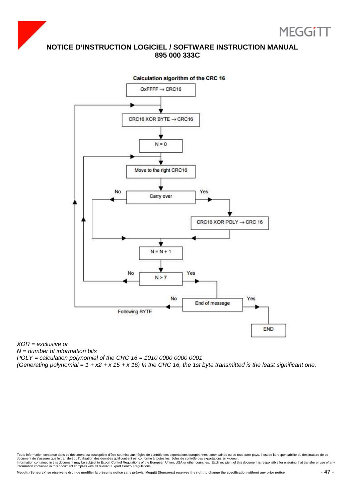





XOR = exclusive or  $N =$  number of information bits

POLY = calculation polynomial of the CRC 16 = 1010 0000 0000 0001

(Generating polynomial =  $1 + x^2 + x 15 + x 16$ ) In the CRC 16, the 1st byte transmitted is the least significant one.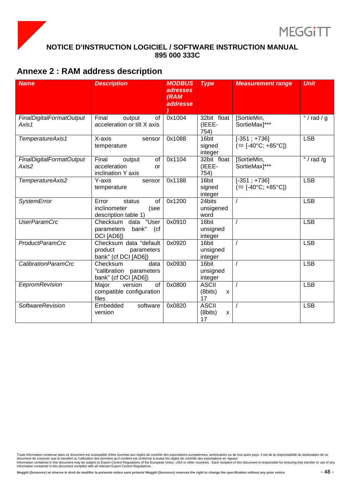



### **Annexe 2 : RAM address description**

| <b>Name</b>                       | <b>Description</b>                                                      | <b>MODBUS</b><br><b>adresses</b><br>(RAM<br><b>addresse</b> | <b>Type</b>                                         | <b>Measurement range</b>                             | <b>Unit</b>         |
|-----------------------------------|-------------------------------------------------------------------------|-------------------------------------------------------------|-----------------------------------------------------|------------------------------------------------------|---------------------|
| FinalDigitalFormatOutput<br>Axis1 | Final<br>output<br>οf<br>acceleration or tilt X axis                    | 0x1004                                                      | 32bit float<br>(IEEE-<br>754)                       | [SortieMin,<br>SortieMax]***                         | $\degree$ / rad / g |
| TemperatureAxis1                  | X-axis<br>sensor<br>temperature                                         | 0x1088                                                      | 16bit<br>signed<br>integer                          | $[-351; +736]$<br>$(\Leftrightarrow$ [-40°C; +85°C]) | <b>LSB</b>          |
| FinalDigitalFormatOutput<br>Axis2 | Final<br>output<br>of<br>acceleration<br>or<br>inclination Y axis       | 0x1104                                                      | 32bit float<br>(IEEE-<br>754)                       | [SortieMin,<br>SortieMax <sub>1</sub> ***            | $\degree$ / rad /g  |
| TemperatureAxis2                  | Y-axis<br>sensor<br>temperature                                         | 0x1188                                                      | 16bit<br>signed<br>integer                          | $[-351; +736]$<br>(⇔ [-40°C; +85°C])                 | <b>LSB</b>          |
| <b>SystemError</b>                | of<br>Error<br>status<br>inclinometer<br>(see<br>description table 1)   | 0x1200                                                      | 24bits<br>unsigened<br>word                         | $\prime$                                             | <b>LSB</b>          |
| <b>UserParamCrc</b>               | "User<br>Checksum data<br>bank"<br>(ct)<br>parameters<br>DCI [AD6])     | 0x0910                                                      | 16bit<br>unsigned<br>integer                        | $\prime$                                             | <b>LSB</b>          |
| <b>ProductParamCrc</b>            | Checksum data "default<br>product<br>parameters<br>bank" (cf DCI [AD6]) | 0x0920                                                      | 16bit<br>unsigned<br>integer                        | $\prime$                                             | <b>LSB</b>          |
| CalibrationParamCrc               | Checksum<br>data<br>"calibration parameters<br>bank" (cf DCI [AD6])     | 0x0930                                                      | 16bit<br>unsigned<br>integer                        | $\prime$                                             | <b>LSB</b>          |
| EepromRevision                    | Major<br>of<br>version<br>compatible configuration<br>files             | 0x0800                                                      | <b>ASCII</b><br>(8bits)<br>$\pmb{\mathsf{X}}$<br>17 | $\prime$                                             | <b>LSB</b>          |
| <b>SoftwareRevision</b>           | Embedded<br>software<br>version                                         | 0x0820                                                      | <b>ASCII</b><br>(8bits)<br>X<br>17                  | $\prime$                                             | <b>LSB</b>          |

Toute information contenue dans ce document est susceptible d'être soumise aux règles de contrôle des exportations européennes, américaines ou de tout autre pays. Il est de la responsabilité du destinataire de ce<br>document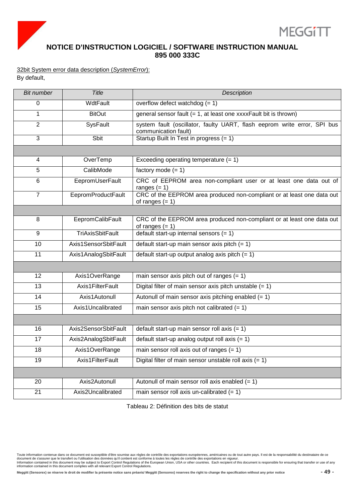

### 32bit System error data description (SystemError): By default,

| <b>Bit number</b> | <b>Title</b>              | Description                                                                                      |
|-------------------|---------------------------|--------------------------------------------------------------------------------------------------|
| 0                 | WdtFault                  | overflow defect watchdog $(= 1)$                                                                 |
| 1                 | <b>BitOut</b>             | general sensor fault $(= 1, at least one XXXFault bit is thrown)$                                |
| $\overline{2}$    | SysFault                  | system fault (oscillator, faulty UART, flash eeprom write error, SPI bus<br>communication fault) |
| 3                 | Sbit                      | Startup Built In Test in progress $(= 1)$                                                        |
|                   |                           |                                                                                                  |
| $\overline{4}$    | OverTemp                  | Exceeding operating temperature $(= 1)$                                                          |
| 5                 | CalibMode                 | factory mode $(= 1)$                                                                             |
| 6                 | EepromUserFault           | CRC of EEPROM area non-compliant user or at least one data out of<br>ranges $(= 1)$              |
| $\overline{7}$    | <b>EepromProductFault</b> | CRC of the EEPROM area produced non-compliant or at least one data out<br>of ranges $(= 1)$      |
|                   |                           |                                                                                                  |
| 8                 | EepromCalibFault          | CRC of the EEPROM area produced non-compliant or at least one data out<br>of ranges $(= 1)$      |
| 9                 | <b>TriAxisSbitFault</b>   | default start-up internal sensors $(= 1)$                                                        |
| 10                | Axis1SensorSbitFault      | default start-up main sensor axis pitch $(= 1)$                                                  |
| 11                | Axis1AnalogSbitFault      | default start-up output analog axis pitch $(= 1)$                                                |
|                   |                           |                                                                                                  |
| 12                | Axis1OverRange            | main sensor axis pitch out of ranges $(= 1)$                                                     |
| 13                | Axis1FilterFault          | Digital filter of main sensor axis pitch unstable $(= 1)$                                        |
| 14                | Axis1Autonull             | Autonull of main sensor axis pitching enabled $(= 1)$                                            |
| 15                | Axis1Uncalibrated         | main sensor axis pitch not calibrated $(= 1)$                                                    |
|                   |                           |                                                                                                  |
| 16                | Axis2SensorSbitFault      | default start-up main sensor roll axis $(= 1)$                                                   |
| 17                | Axis2AnalogSbitFault      | default start-up analog output roll axis $(= 1)$                                                 |
| 18                | Axis1OverRange            | main sensor roll axis out of ranges $(= 1)$                                                      |
| 19                | Axis1FilterFault          | Digital filter of main sensor unstable roll axis $(= 1)$                                         |
|                   |                           |                                                                                                  |
| 20                | Axis2Autonull             | Autonull of main sensor roll axis enabled $(= 1)$                                                |
| 21                | Axis2Uncalibrated         | main sensor roll axis un-calibrated $(= 1)$                                                      |

Tableau 2: Définition des bits de statut

Toute information contenue dans ce document est susceptible d'être soumise aux règles de contrôle des exportations européennes, américaines ou de tout autre pays. Il est de la responsabilité du destinataire de ce<br>document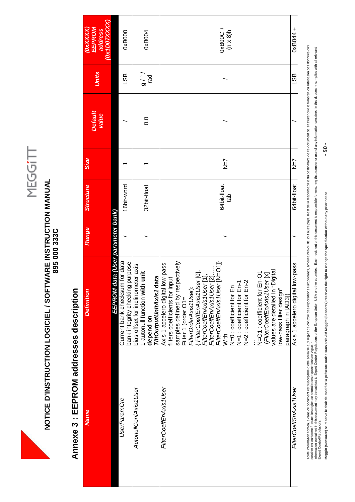### **NOTICE D'INSTRUCTION LOGICIEL / SOFTWARE INSTRUCTION MANUAL<br>895 000 333C NOTICE D'INSTRUCTION LOGICIEL / SOFTWARE INSTRUCTION MANUAL 895 000 333C**

# **Annexe 3 : EEPROM addresses description**  Annexe 3 : EEPROM addresses description

| <b>Name</b>            | <b>Definition</b>                                                                                                                                                                                                                                                                                                                                                                                                                                                                                                                                                                                                                                                                                                                                                                                                                                                                                                     | Range | <b>Structure</b>   | <b>Size</b>    | <b>Default</b><br>value | <b>Units</b>   | (Ox1DOTXXXX)<br>EEPROM<br><b>COXXXXX</b><br>address |
|------------------------|-----------------------------------------------------------------------------------------------------------------------------------------------------------------------------------------------------------------------------------------------------------------------------------------------------------------------------------------------------------------------------------------------------------------------------------------------------------------------------------------------------------------------------------------------------------------------------------------------------------------------------------------------------------------------------------------------------------------------------------------------------------------------------------------------------------------------------------------------------------------------------------------------------------------------|-------|--------------------|----------------|-------------------------|----------------|-----------------------------------------------------|
|                        | EEPROM data (User parameter bank)                                                                                                                                                                                                                                                                                                                                                                                                                                                                                                                                                                                                                                                                                                                                                                                                                                                                                     |       |                    |                |                         |                |                                                     |
| <b>UserParamCrc</b>    | Current bank checksum for data<br>bank integrity checking purpose                                                                                                                                                                                                                                                                                                                                                                                                                                                                                                                                                                                                                                                                                                                                                                                                                                                     |       | 16bit-word         |                |                         | 95             | 0xB000                                              |
| AutonullConfAxis1User  | bias offset for inclinometer axis<br>1 autonull function with unit<br>TiltOutputUnitAxis1 data<br>depend on                                                                                                                                                                                                                                                                                                                                                                                                                                                                                                                                                                                                                                                                                                                                                                                                           |       | 32bit-float        |                | 0.0                     | / o / 6<br>pel | 0xB004                                              |
| FilterCoeffEnAxis1User | samples defined by respectively<br>$\left\{ \begin{array}{ll} \left\{ \text{ Filter Coeff} \text{ } \text{A} \text{ x} \text{ is 1} \text{ U} \text{ s} \text{er} \text{ [O]}, \right. \ \text{ } \text{ Filter Coeff} \text{ } \text{ } \text{A} \text{ x} \text{ is 1} \text{ U} \text{ s} \text{er} \text{ [1]}, \text{ } \text{ } \text{ } \text{ } \text{ Filter Coeff} \text{ } \text{ } \text{ } \text{A} \text{ x} \text{ is 1} \text{ U} \text{ s} \text{er} \text{ [2]},,\text{ } \text{ } \text{ } \text{ } \text{ } \$<br>Axis 1 accelero digital low-pass<br>N=O1 : coefficient for En-O1<br>( <i>FilterCoeffEnAxis1User</i> [x]<br>values are detailed in "Digital<br>filters coefficients for input<br>N=2 : coefficient for En-2<br>N=0 : coefficient for En<br>N=1 : coefficient for En-1<br>FilterOrderAxis1User):<br>low-pass filter design"<br>paragraph in [AD3])<br>Filter 1 (order O1=<br>With |       | 64bit-float<br>dab | $\overline{Z}$ |                         |                | 0xB00C+<br>$(n \times 8)$ h                         |
| FilterCoeffSnAxis1User | Axis 1 accelero digital low-pass                                                                                                                                                                                                                                                                                                                                                                                                                                                                                                                                                                                                                                                                                                                                                                                                                                                                                      |       | 64bit-float        | $\overline{Z}$ |                         | LSB            | $0 \times B044 +$                                   |

Toute information contenue dans ce document est susceptible d'être soumise aux régles de concretaions américaines ou de tout autre pay. Il est de la responsabilité du destinatie de ce document de s'assurer que le transfer Toute information concomment est susceptible d'être sournise aux régles de contrôle des exportations européennes, américaines ou de jout autre pays lies de des des des des des des dus le transfert ou l'utilisation des donn nformation contained in this document may be subject to Export Control Regulations of the European Union, USA or other countries. Each net playsuring that the subject or contained in this document complies with all relevan contient est conforme à toutes les règles de contrôle des exportations en vigueur. Export Control Regulations.

**Meggitt (Sensorex) se réserve le droit de modifier la présente notice sans préavis/ Meggitt (Sensorex) reserves the right to change the specification without any prior notice - 50 -**   $-50-$ Meggitt (Sensorex) se réserve le droit de modifier la présente notice sans préavis/ Meggitt (Sensorex) reserves the right to change the specification without any prior notice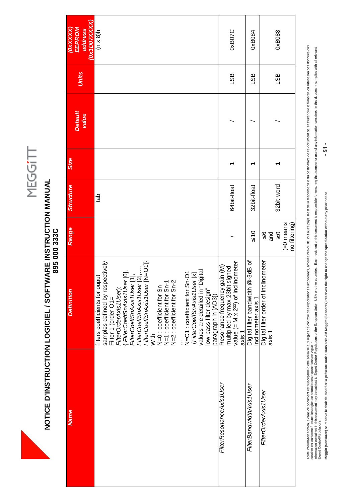### **NOTICE D'INSTRUCTION LOGICIEL / SOFTWARE INSTRUCTION MANUAL<br>895 000 333C NOTICE D'INSTRUCTION LOGICIEL / SOFTWARE INSTRUCTION MANUAL 895 000 333C**

| Ox1D07XXXX)<br>EEPROM<br>address<br><b>COXXXX</b> | $(n \times 8)$ h                                                                                                                                                                                                                                                                                                                                                                                                                                                                                                                                                                                                                                                                                                                                                                                                                                                                | 0xB07C                                                                                                                             | 0xB084                                                   | 0xB088                                                                        |
|---------------------------------------------------|---------------------------------------------------------------------------------------------------------------------------------------------------------------------------------------------------------------------------------------------------------------------------------------------------------------------------------------------------------------------------------------------------------------------------------------------------------------------------------------------------------------------------------------------------------------------------------------------------------------------------------------------------------------------------------------------------------------------------------------------------------------------------------------------------------------------------------------------------------------------------------|------------------------------------------------------------------------------------------------------------------------------------|----------------------------------------------------------|-------------------------------------------------------------------------------|
| <b>Units</b>                                      |                                                                                                                                                                                                                                                                                                                                                                                                                                                                                                                                                                                                                                                                                                                                                                                                                                                                                 | LSB                                                                                                                                | <b>GS</b>                                                | LSB                                                                           |
| <b>Default</b><br>value                           |                                                                                                                                                                                                                                                                                                                                                                                                                                                                                                                                                                                                                                                                                                                                                                                                                                                                                 |                                                                                                                                    |                                                          |                                                                               |
| Size                                              |                                                                                                                                                                                                                                                                                                                                                                                                                                                                                                                                                                                                                                                                                                                                                                                                                                                                                 |                                                                                                                                    |                                                          |                                                                               |
| <b>Structure</b>                                  | de                                                                                                                                                                                                                                                                                                                                                                                                                                                                                                                                                                                                                                                                                                                                                                                                                                                                              | 64bit-float                                                                                                                        | 32bit-float                                              | 32bit-word                                                                    |
| Range                                             |                                                                                                                                                                                                                                                                                                                                                                                                                                                                                                                                                                                                                                                                                                                                                                                                                                                                                 |                                                                                                                                    | $\leq 10$                                                | $(=0$ means<br>no filtering)<br>$\frac{1}{2}$<br>$\frac{6}{9}$ $\frac{8}{10}$ |
| <b>Definition</b>                                 | samples defined by respectively<br>$\left\{ \begin{array}{ll} \{ \textit{FilterCoeffS} \textit{nAx} \textit{is} \textit{t} \textit{Use} \textit{r} \textit{0} \}, \\ \textit{FilterCoeffS} \textit{nAx} \textit{is} \textit{t} \textit{User} \textit{[1]}, \\ \textit{FilterCoeffS} \textit{nAx} \textit{is} \textit{t} \textit{User} \textit{[2]}, \dots, \\ \textit{FilterCoeffS} \textit{nAx} \textit{is} \textit{t} \textit{User} \textit{[2]}, \dots, \\ \textit{FilterCoeffS} \textit{nAx} \textit{is} \textit{t} \textit$<br>N=O1 : coefficient for Sn-O1<br>( <i>FilterCoeffSnAxis1User</i> [x]<br>values are detailed in "Digital<br>filters coefficients for ouput<br>N=1 : coefficient for Sn-1<br>N=2 : coefficient for Sn-2<br>N=0 : coefficient for Sn<br>FilterOrderAxis1User):<br>low-pass filter design"<br>paragraph in [AD3])<br>Filter 1 (order O1=<br>With | value $(= M \times 2^{22})$ of inclinometer<br>Resonance frequency gain (M)<br>multiplied by max 23bit signed<br>axis <sub>1</sub> | Digital filter bandwidth @-3dB of<br>inclinometer axis 1 | Digital filter order of inclinometer<br>axis 1                                |
| <b>Name</b>                                       |                                                                                                                                                                                                                                                                                                                                                                                                                                                                                                                                                                                                                                                                                                                                                                                                                                                                                 | FilterResonanceAxis1User                                                                                                           | FilterBandwidthAxis1User                                 | FilterOrderAxis1User                                                          |

Toute information contenue dans ce document est susceptible d'être soumise aux régles de concretaions américaines ou de tout autre pay. Il est de la responsabilité du destinatie de ce document de s'assurer que le transfer Toute information concomment est susceptible d'être sournise aux régles de contrôle des exportations européennes, américaines ou de jout autre pays lies de des des des des des des dus le transfert ou l'utilisation des donn nformation contained in this document may be subject to Export Control Regulations of the European Union, USA or other countries. Each net playsuring that the subject or contained in this document complies with all relevan contient est conforme à toutes les règles de contrôle des exportations en vigueur. Export Control Regulations.

**Meggitt (Sensorex) se réserve le droit de modifier la présente notice sans préavis/ Meggitt (Sensorex) reserves the right to change the specification without any prior notice - 51 -**  Meggitt (Sensorex) se réserve le droit de modifier la présente notice sans préavis/ Meggitt (Sensorex) reserves the right to change the specification without any prior notice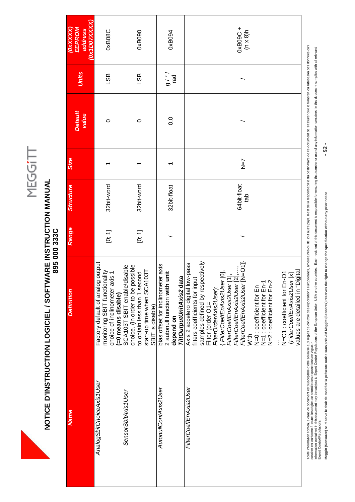

# **NOTICE D'INSTRUCTION LOGICIEL / SOFTWARE INSTRUCTION MANUAL<br>895 000 333C NOTICE D'INSTRUCTION LOGICIEL / SOFTWARE INSTRUCTION MANUAL 895 000 333C**

| <b>Name</b>               | <b>Definition</b>                                                                                                                                                                                                                                                                                                                                                                                                                                                                                 | Range  | <b>Structure</b>   | <b>Size</b>                   | <b>Default</b><br>value | <b>Units</b>         | <b>EEPROM</b><br>address<br><b>OXXXXX</b> |
|---------------------------|---------------------------------------------------------------------------------------------------------------------------------------------------------------------------------------------------------------------------------------------------------------------------------------------------------------------------------------------------------------------------------------------------------------------------------------------------------------------------------------------------|--------|--------------------|-------------------------------|-------------------------|----------------------|-------------------------------------------|
| AnalogSbitChoiceAxis1User | Factory default of analog output<br>monitoring SBIT functionality<br>choice of inclinometer axis 1<br>(=0 means disable)                                                                                                                                                                                                                                                                                                                                                                          | [0; 1] | 32bit-word         |                               | $\circ$                 | LSB                  | (Ox1DOTXXXX)<br>0xB08C                    |
| SensorSbitAxis1User       | choice. (in order to be possible<br>SCA103T SBIT enable/disable<br>start-up time when SCA103T<br>to obtain less than 1 second<br>SBIT is disable)                                                                                                                                                                                                                                                                                                                                                 | [0; 1] | 32bit-word         |                               | $\circ$                 | LSB                  | 0xB090                                    |
| AutonullConfAxis2User     | er axis<br>init<br>TiltOutputUnitAxis2 data<br>2 autonull function with u<br>bias offset for inclinomet<br>depend on                                                                                                                                                                                                                                                                                                                                                                              |        | 32bit-float        |                               | 0.0                     | $\frac{1}{6}$<br>pel | 0xB094                                    |
| FilterCoeffEnAxis2User    | samples defined by respectively<br>Axis 2 accelero digital low-pass<br>filters coefficients for input<br>{ FilterCoeffEnAxis2User [0],<br>FilterCoeffEnAxis2User [1],<br>FilterCoeffEnAxis2User [2],,,<br>FilterCoeffEnAxis2User [N=O1]}<br>N=O1 : coefficient for En-O1<br>( <i>FilterCoeffEnAxis2User</i> [x]<br>values are detailed in "Digital<br>N=1 : coefficient for En-1<br>N=2 : coefficient for En-2<br>N=0 : coefficient for En<br>FilterOrderAxis2User):<br>Filter (order O1=<br>With |        | 64bit-float<br>dab | $\overline{X} = \overline{X}$ |                         |                      | $0 \times B09C +$<br>(n x 8)h             |

Toute information concomment est susceptible d'être sournise aux régles de contrôle des exportations européennes, américaines ou de jout autre pays lies de des des des des des des dus le transfert ou l'utilisation des donn route mormaton content estates and the succeptone deter source and the success of the success are mormatically and the problem and responsable de cool of the errors que let ansien due to a contress quelect of the second ob nformation contained in this document may be subject to Export Control Regulations of the European Union, USA or other countries. Each net playsuring that the subject or contained in this document complies with all relevan contient est conforme à toutes les règles de contrôle des exportations en vigueur. Export Control Regulations.

 $-52 -$ **Meggitt (Sensorex) se réserve le droit de modifier la présente notice sans préavis/ Meggitt (Sensorex) reserves the right to change the specification without any prior notice - 52 -**  Meggitt (Sensorex) se réserve le droit de modifier la présente notice sans préavis/ Meggitt (Sensorex) reserves the right to change the specification without any prior notice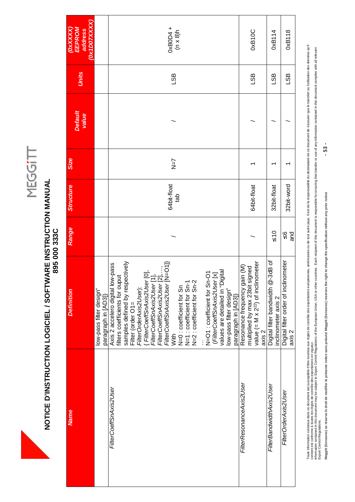### **NOTICE D'INSTRUCTION LOGICIEL / SOFTWARE INSTRUCTION MANUAL<br>895 000 333C NOTICE D'INSTRUCTION LOGICIEL / SOFTWARE INSTRUCTION MANUAL 895 000 333C**

| <b>Name</b>              | <b>Definition</b>                                                                                                                                                                                                                                                                                                                                                                                                                                                                                                                                  | Range                | <b>Structure</b>   | <b>Size</b>    |                         |              | <b>OXXXXX</b>                          |
|--------------------------|----------------------------------------------------------------------------------------------------------------------------------------------------------------------------------------------------------------------------------------------------------------------------------------------------------------------------------------------------------------------------------------------------------------------------------------------------------------------------------------------------------------------------------------------------|----------------------|--------------------|----------------|-------------------------|--------------|----------------------------------------|
|                          |                                                                                                                                                                                                                                                                                                                                                                                                                                                                                                                                                    |                      |                    |                | <b>Default</b><br>value | <b>Units</b> | <b>OX1DOTXXXX</b><br>EEPROM<br>address |
|                          | low-pass filter design"<br>paragraph in [AD3])                                                                                                                                                                                                                                                                                                                                                                                                                                                                                                     |                      |                    |                |                         |              |                                        |
|                          | samples defined by respectively<br>Axis 2 accelero digital low-pass<br>{ FilterCoeffSnAxis2User [0],<br>FilterCoeffSnAxis2User [1],<br>FilterCoeffSnAxis2User [2],,<br>FilterCoeffSnAxis2User [N=O1])<br>N=O1 : coefficient for Sn-O1<br>( <i>FilterCoeffSnAxis2User</i> [x]<br>values are detailed in "Digital<br>filters coefficients for ouput<br>N=1 : coefficient for Sn-1<br>N=2 : coefficient for Sn-2<br>N=0 : coefficient for Sn<br>FilterOrderAxis2User):<br>low-pass filter design"<br>paragraph in [AD3])<br>Filter (order O1=<br>With |                      | 64bit-float<br>dat | $\overline{Z}$ |                         | <u>gs</u>    | $0 \times B0D4 +$<br>(n x 8)h          |
| FilterResonanceAxis2User | value $(= M \times 2^{22})$ of inclinometer<br>Resonance frequency gain (M)<br>multiplied by max 23bit signed<br>axis 2                                                                                                                                                                                                                                                                                                                                                                                                                            |                      | 64bit-float        |                |                         | LSB          | <b>OxB10C</b>                          |
| FilterBandwidthAxis2User | Digital filter bandwidth @-3dB of<br>inclinometer axis 2                                                                                                                                                                                                                                                                                                                                                                                                                                                                                           | $\leq 10$            | 32bit-float        |                |                         | <b>GSL</b>   | 0xB114                                 |
|                          | Digital filter order of inclinometer<br>axis 2                                                                                                                                                                                                                                                                                                                                                                                                                                                                                                     | $\frac{8}{2}$<br>and | 32bit-word         |                |                         | LSB          | 0xB118                                 |

Toute information contenue dans ce document est susceptible d'être sounties aux régles acoronations andrétaines ou de tout autre pay. Il est de la responsabilité du destinatie de ce document de s'assurer que le transfer ou Toute information concomment est susceptible d'être sournise aux régles de contrôle des exportations européennes, américaines ou de jout autre pays lies de des des des des des des dus le transfert ou l'utilisation des donn nformation contained in this document may be subject to Export Control Regulations of the European Union, USA or other countries. Each net playsuring that the subject or contained in this document complies with all relevan contient est conforme à toutes les règles de contrôle des exportations en vigueur. Export Control Regulations.

 $-53 -$ **Meggitt (Sensorex) se réserve le droit de modifier la présente notice sans préavis/ Meggitt (Sensorex) reserves the right to change the specification without any prior notice - 53 -**  Meggitt (Sensorex) se réserve le droit de modifier la présente notice sans préavis/ Meggitt (Sensorex) reserves the right to change the specification without any prior notice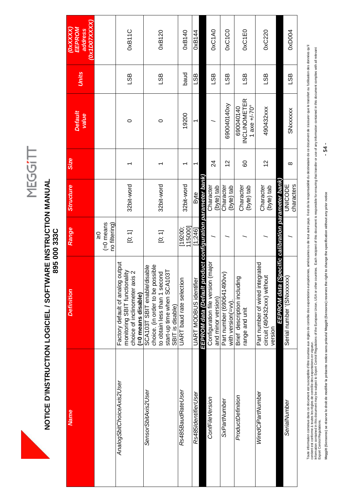### **NOTICE D'INSTRUCTION LOGICIEL / SOFTWARE INSTRUCTION MANUAL<br>895 000 333C NOTICE D'INSTRUCTION LOGICIEL / SOFTWARE INSTRUCTION MANUAL 895 000 333C**

| <b>Name</b>               | <b>Definition</b>                                                                                                                                 | Range                                                                     | <b>Structure</b>             | <b>Size</b> | <b>Default</b><br>value                                   | Units      | (Ox1DOTXXXX)<br>(0XXXXX)<br>EEPROM<br>address |
|---------------------------|---------------------------------------------------------------------------------------------------------------------------------------------------|---------------------------------------------------------------------------|------------------------------|-------------|-----------------------------------------------------------|------------|-----------------------------------------------|
|                           |                                                                                                                                                   | $(=0$ means<br>no filtering)<br>$\mathop{\mathsf{O}}\limits_{\mathsf{N}}$ |                              |             |                                                           |            |                                               |
| AnalogSbitChoiceAxis2User | output<br>monitoring SBIT functionality<br>choice of inclinometer axis 2<br>Factory default of analog<br>(=0 means disable)                       | [0, 1]                                                                    | 32bit-word                   |             | 0                                                         | LSB        | <b>OxB11C</b>                                 |
| SensorSbitAxis2User       | choice. (in order to be possible<br>SCA103T SBIT enable/disable<br>start-up time when SCA103T<br>to obtain less than 1 second<br>SBIT is disable) | [0, 1]                                                                    | 32bit-word                   |             | 0                                                         | LSB        | 0xB120                                        |
| Rs485BaudRateUser         | UART baud rate selection                                                                                                                          | 115000]<br>19200;                                                         | 32bit-word                   | ᡪ           | 19200                                                     | baud       | 0xB140                                        |
| Rs485IdentifierUser       | UART MODBUS identifier<br>EEPROM data (Default pi                                                                                                 | roduct configuration parameter bank<br>1:246                              | <b>Byte</b>                  |             |                                                           | LSB        | 0xB144                                        |
| ConfFileVersion           | Configuration file version (major<br>and minor version)                                                                                           |                                                                           | (byte) tab<br>Character      | 24          |                                                           | 9ST        | <b>OXC1A0</b>                                 |
| SxPartNumber              | Part number (690641490vv)<br>with version(=vv)                                                                                                    |                                                                           | Character<br>(byte) tab      | 12          | 690040140xy                                               | 9ST        | <b>OXC1CO</b>                                 |
| ProductDefinition         | Brief description including<br>range and unit                                                                                                     |                                                                           | Character<br>(byte) tab      | 8           | <b>INCLINOMETER</b><br>1 axe $+/-70^{\circ}$<br>690040140 | LSB        | 0xC1E0                                        |
| WiredCiPartNumber         | Part number of wired integrated<br>circuit (490432xxx) without<br>version                                                                         |                                                                           | Character<br>(byte) tab      | 57          | 490432xxx                                                 | <b>GSL</b> | 0xC220                                        |
|                           | EEPROM data (Specific calibration parameter bank)                                                                                                 |                                                                           |                              |             |                                                           |            |                                               |
| SerialNumber              | Serial number '(SNxxxxxx)                                                                                                                         |                                                                           | characters<br><b>UNICODE</b> | $\infty$    | SNxxxxxx                                                  | LSB        | 0xD004                                        |

Toute information contenue dans ce document est susceptible d'être sounties aux régles acoronations andrétaines ou de tout autre pay. Il est de la responsabilité du destinatie de ce document de s'assurer que le transfer ou Toute information concomment est susceptible d'être sournise aux régles de contrôle des exportations européennes, américaines ou de jout autre pays lies de des des des des des des dus le transfert ou l'utilisation des donn nformation contained in this document may be subject to Export Control Regulations of the European Union, USA or other countries. Each net playsuring that the subject or contained in this document complies with all relevan contient est conforme à toutes les règles de contrôle des exportations en vigueur. Export Control Regulations.

 $-54-$ **Meggitt (Sensorex) se réserve le droit de modifier la présente notice sans préavis/ Meggitt (Sensorex) reserves the right to change the specification without any prior notice - 54 -**  Meggitt (Sensorex) se réserve le droit de modifier la présente notice sans préavis/ Meggitt (Sensorex) reserves the right to change the specification without any prior notice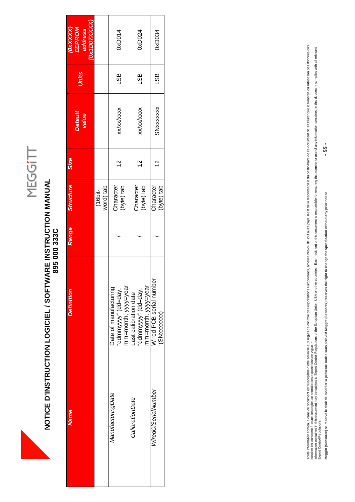

# **NOTICE D'INSTRUCTION LOGICIEL / SOFTWARE INSTRUCTION MANUAL<br>895 000 333C NOTICE D'INSTRUCTION LOGICIEL / SOFTWARE INSTRUCTION MANUAL 895 000 333C**

| <b>Name</b>         | <b>Definition</b>                                                  | Range | <b>Structure</b>        | <b>Size</b> | <b>Default</b><br>value | Units | <b>OX1DOTXXXX</b><br>EEPROM<br>OXXXXX<br>address |
|---------------------|--------------------------------------------------------------------|-------|-------------------------|-------------|-------------------------|-------|--------------------------------------------------|
|                     |                                                                    |       | word) tab<br>$(16bit-$  |             |                         |       |                                                  |
| ManufacturingDate   | mm=month, yyyy=year<br>Date of manufacturing<br>'ddmmyyy" (dd=day, |       | Character<br>(byte) tab | $\tilde{c}$ | <b>XX/XX/XXXX</b>       | LSB   | <b>DxD014</b>                                    |
| CalibrationDate     | mm=month, yyy=year<br>"ddmmyyy" (dd=day,<br>-ast calibration date  |       | Character<br>(byte) tab | $\tilde{c}$ | <b>XX/XX/XXXX</b>       | LSB   | 0xD024                                           |
| WiredCiSerialNumber | Wired PCB serial number<br>(SNxxxxxx)                              |       | Character<br>(byte) tab | $\tilde{c}$ | SNxxxxxx                | LSB   | 0xD034                                           |

Toute information contenue dans ce document est susceptible d'être sounties aux régles acoronations andrétaines ou de tout autre pay. Il est de la responsabilité du destinatie de ce document de s'assurer que le transfer ou Toute information concomment est susceptible d'être sournise aux régles de contrôle des exportations européennes, américaines ou de jout autre pays lies de des des des des des des dus le transfert ou l'utilisation des donn nformation contained in this document may be subject to Export Control Regulations of the European Union, USA or other countries. Each net playsuring that the subject or prespect many information contained in this document contient est conforme à toutes les règles de contrôle des exportations en vigueur. Export Control Regulations.

**Meggitt (Sensorex) se réserve le droit de modifier la présente notice sans préavis/ Meggitt (Sensorex) reserves the right to change the specification without any prior notice - 55 -**  Meggitt (Sensorex) se réserve le droit de modifier la présente notice sans préavis/ Meggitt (Sensorex) reserves the right to change the specification without any prior notice